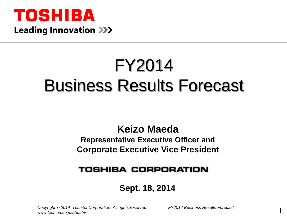

# FY2014 Business Results Forecast

## **Keizo Maeda**

### **Representative Executive Officer and Corporate Executive Vice President**

### **TOSHIBA CORPORATION**

### **Sept. 18, 2014**

1 *Copyright © 2014 Toshiba Corporation. All rights reserved. FY2014 Business Results Forecast www.toshiba.co.jp/about/ir*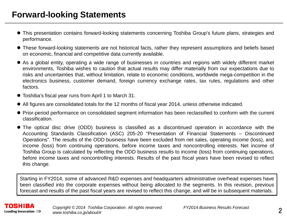- This presentation contains forward-looking statements concerning Toshiba Group's future plans, strategies and performance.
- These forward-looking statements are not historical facts, rather they represent assumptions and beliefs based on economic, financial and competitive data currently available.
- As a global entity, operating a wide range of businesses in countries and regions with widely different market environments, Toshiba wishes to caution that actual results may differ materially from our expectations due to risks and uncertainties that, without limitation, relate to economic conditions, worldwide mega-competition in the electronics business, customer demand, foreign currency exchange rates, tax rules, regulations and other factors.
- Toshiba's fiscal year runs from April 1 to March 31.
- All figures are consolidated totals for the 12 months of fiscal year 2014, unless otherwise indicated.
- Prior-period performance on consolidated segment information has been reclassified to conform with the current classification.
- The optical disc drive (ODD) business is classified as a discontinued operation in accordance with the Accounting Standards Classification (ASC) 205-20 "Presentation of Financial Statements – Discontinued Operations". The results of the ODD business have been excluded from net sales, operating income (loss), and income (loss) from continuing operations, before income taxes and noncontrolling interests. Net income of Toshiba Group is calculated by reflecting the ODD business results to income (loss) from continuing operations, before income taxes and noncontrolling interests. Results of the past fiscal years have been revised to reflect this change.

Starting in FY2014, some of advanced R&D expenses and headquarters administrative overhead expenses have been classified into the corporate expenses without being allocated to the segments. In this revision, previous forecast and results of the past fiscal years are revised to reflect this change, and will be in subsequent materials.

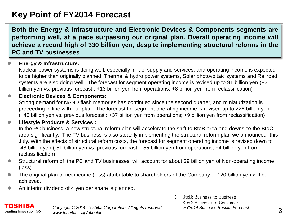### **Key Point of FY2014 Forecast**

**Both the Energy & Infrastructure and Electronic Devices & Components segments are performing well, at a pace surpassing our original plan. Overall operating income will achieve a record high of 330 billion yen, despite implementing structural reforms in the PC and TV businesses.**

#### **Energy & Infrastructure:**

Nuclear power systems is doing well, especially in fuel supply and services, and operating income is expected to be higher than originally planned. Thermal & hydro power systems, Solar photovoltaic systems and Railroad systems are also doing well. The forecast for segment operating income is revised up to 91 billion yen (+21 billion yen vs. previous forecast : +13 billion yen from operations; +8 billion yen from reclassification)

#### **Electronic Devices & Components:**

Strong demand for NAND flash memories has continued since the second quarter, and miniaturization is proceeding in line with our plan. The forecast for segment operating income is revised up to 226 billion yen (+46 billion yen vs. previous forecast : +37 billion yen from operations; +9 billion yen from reclassification)

#### **Lifestyle Products & Services :**

In the PC business, a new structural reform plan will accelerate the shift to BtoB area and downsize the BtoC area significantly. The TV business is also steadily implementing the structural reform plan we announced this July. With the effects of structural reform costs, the forecast for segment operating income is revised down to -48 billion yen (-51 billion yen vs. previous forecast : -55 billion yen from operations; +4 billion yen from reclassification)

- Structural reform of the PC and TV businesses will account for about 29 billion yen of Non-operating income (loss)
- The original plan of net income (loss) attributable to shareholders of the Company of 120 billion yen will be achieved.
- An interim dividend of 4 yen per share is planned.

#### TOSHIBA Leading Innovation >>>

*Copyright © 2014 Toshiba Corporation. All rights reserved. FY2014 Business Results Forecast www.toshiba.co.jp/about/ir*

※ BtoB: Business to Business BtoC: Business to Consumer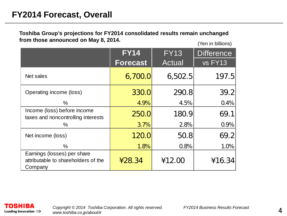### **FY2014 Forecast, Overall**

**Toshiba Group's projections for FY2014 consolidated results remain unchanged from those announced on May 8, 2014.**

(Yen in billions)

|                                                                               | <b>FY14</b>     | <b>FY13</b>   | <b>Difference</b> |
|-------------------------------------------------------------------------------|-----------------|---------------|-------------------|
|                                                                               | <b>Forecast</b> | <b>Actual</b> | vs FY13           |
| Net sales                                                                     | 6,700.0         | 6,502.5       | 197.5             |
| Operating income (loss)                                                       | 330.0           | 290.8         | 39.2              |
| $\%$                                                                          | 4.9%            | 4.5%          | 0.4%              |
| Income (loss) before income<br>taxes and noncontrolling interests             | 250.0           | 180.9         | 69.1              |
| %                                                                             | 3.7%            | 2.8%          | 0.9%              |
| Net income (loss)                                                             | 120.0           | 50.8          | 69.2              |
| $\%$                                                                          | 1.8%            | 0.8%          | 1.0%              |
| Earnings (losses) per share<br>attributable to shareholders of the<br>Company | 428.34          | ¥12.00        | ¥16.34            |

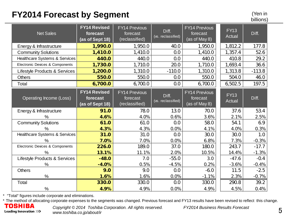### **FY2014 Forecast by Segment**

(Yen in

|                                 | ◢<br>- - -                                         |                                                    |                             |                                                   |                       | billions) |
|---------------------------------|----------------------------------------------------|----------------------------------------------------|-----------------------------|---------------------------------------------------|-----------------------|-----------|
| <b>Net Sales</b>                | <b>FY14 Revised</b><br>forecast<br>(as of Sept 18) | <b>FY14 Previous</b><br>forecast<br>(reclassified) | Diff.<br>(vs. reclassified) | <b>FY14 Previous</b><br>forecast<br>(as of May 8) | <b>FY13</b><br>Actual | Diff.     |
| Energy & Infrastructure         | 1,990.0                                            | 1,950.0                                            | 40.0                        | 1,950.0                                           | 1,812.2               | 177.8     |
| <b>Community Solutions</b>      | 1,410.0                                            | 1,410.0                                            | 0.0                         | 1,410.0                                           | 1,357.4               | 52.6      |
| Healthcare Systems & Services   | 440.0                                              | 440.0                                              | 0.0                         | 440.0                                             | 410.8                 | 29.2      |
| Electronic Devices & Components | 1,730.0                                            | 1,710.0                                            | 20.0                        | 1,710.0                                           | 1,693.4               | 36.6      |
| Lifestyle Products & Services   | 1,200.0                                            | 1,310.0                                            | $-110.0$                    | 1,310.0                                           | 1,313.8               | $-113.8$  |
| <b>Others</b>                   | 550.0                                              | 550.0                                              | 0.0                         | 550.0                                             | 504.0                 | 46.0      |
| Total                           | 6,700.0                                            | 6,700.0                                            | 0.0                         | 6,700.0                                           | 6,502.5               | 197.5     |
| Operating Income (Loss)         | <b>FY14 Revised</b><br>forecast<br>(as of Sept 18) | <b>FY14 Previous</b><br>forecast<br>(reclassified) | Diff.<br>(vs. reclassified) | <b>FY14 Previous</b><br>forecast<br>(as of May 8) | <b>FY13</b><br>Actual | Diff.     |
| Energy & Infrastructure         | 91.0                                               | 78.0                                               | 13.0                        | 70.0                                              | 37.6                  | 53.4      |
| $\%$                            | 4.6%                                               | 4.0%                                               | 0.6%                        | 3.6%                                              | 2.1%                  | 2.5%      |
| <b>Community Solutions</b>      | 61.0                                               | 61.0                                               | 0.0                         | 58.0                                              | 54.1                  | 6.9       |
| $\%$                            | 4.3%                                               | 4.3%                                               | 0.0%                        | 4.1%                                              | 4.0%                  | 0.3%      |
| Healthcare Systems & Services   | 31.0                                               | 31.0                                               | 0.0                         | 30.0                                              | 30.0                  | 1.0       |
| $\%$                            | 7.0%                                               | 7.0%                                               | 0.0%                        | 6.8%                                              | 7.3%                  | $-0.3%$   |
| Electronic Devices & Components | 226.0                                              | 189.0                                              | 37.0                        | 180.0                                             | 243.7                 | $-17.7$   |
| %                               | 13.1%                                              | 11.1%                                              | 2.0%                        | 10.5%                                             | 14.4%                 | $-1.3%$   |
| Lifestyle Products & Services   | $-48.0$                                            | 7.0                                                | $-55.0$                     | 3.0                                               | $-47.6$               | $-0.4$    |
| %                               | $-4.0%$                                            | 0.5%                                               | $-4.5%$                     | 0.2%                                              | $-3.6%$               | $-0.4%$   |
| <b>Others</b>                   | 9.0                                                | 9.0                                                | 0.0                         | $-6.0$                                            | 11.5                  | $-2.5$    |
| $\%$                            | 1.6%                                               | 1.6%                                               | 0.0%                        | $-1.1%$                                           | 2.3%                  | $-0.7%$   |
| Total                           | 330.0                                              | 330.0                                              | 0.0                         | 330.0                                             | 290.8                 | 39.2      |
| $\%$                            | 4.9%                                               | 4.9%                                               | 0.0%                        | 4.9%                                              | 4.5%                  | 0.4%      |

\* "Total" figures include corporate and eliminations.

\* The method of allocating corporate expenses to the segments was changed. Previous forecast and FY13 results have been revised to reflect this change.<br> **TOSHIBA** Converient @ 2014 Toshiba Corporation, All rights resented

Leading Innovation >>>

*Copyright © 2014 Toshiba Corporation. All rights reserved. FY2014 Business Results Forecast www.toshiba.co.jp/about/ir*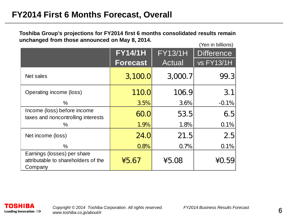**Toshiba Group's projections for FY2014 first 6 months consolidated results remain unchanged from those announced on May 8, 2014.** (Yen in billions)

|                                                                               | <b>FY14/1H</b><br><b>Forecast</b> | <b>FY13/1H</b><br><b>Actual</b> | וטוויטוווע וויטון<br><b>Difference</b><br><b>vs FY13/1H</b> |
|-------------------------------------------------------------------------------|-----------------------------------|---------------------------------|-------------------------------------------------------------|
| Net sales                                                                     | 3,100.0                           | 3,000.7                         | 99.3                                                        |
| Operating income (loss)                                                       | 110.0                             | 106.9                           | 3.1                                                         |
| %                                                                             | 3.5%                              | 3.6%                            | $-0.1%$                                                     |
| Income (loss) before income<br>taxes and noncontrolling interests             | 60.0                              | 53.5                            | 6.5                                                         |
| ℅                                                                             | 1.9%                              | 1.8%                            | 0.1%                                                        |
| Net income (loss)                                                             | 24.0                              | 21.5                            | 2.5                                                         |
| $\%$                                                                          | 0.8%                              | 0.7%                            | 0.1%                                                        |
| Earnings (losses) per share<br>attributable to shareholders of the<br>Company | 45.67                             | ¥5.08                           | ¥0.59                                                       |

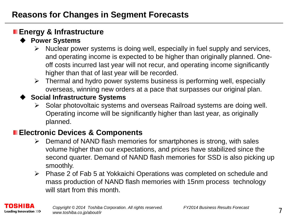### **Energy & Infrastructure**

### **Power Systems**

- $\triangleright$  Nuclear power systems is doing well, especially in fuel supply and services, and operating income is expected to be higher than originally planned. Oneoff costs incurred last year will not recur, and operating income significantly higher than that of last year will be recorded.
- $\triangleright$  Thermal and hydro power systems business is performing well, especially overseas, winning new orders at a pace that surpasses our original plan.

### **Social Infrastructure Systems**

 $\triangleright$  Solar photovoltaic systems and overseas Railroad systems are doing well. Operating income will be significantly higher than last year, as originally planned.

### **Electronic Devices & Components**

- $\triangleright$  Demand of NAND flash memories for smartphones is strong, with sales volume higher than our expectations, and prices have stabilized since the second quarter. Demand of NAND flash memories for SSD is also picking up smoothly.
- Phase 2 of Fab 5 at Yokkaichi Operations was completed on schedule and mass production of NAND flash memories with 15nm process technology will start from this month.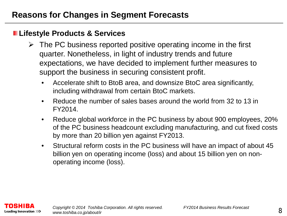### **Lifestyle Products & Services**

- $\triangleright$  The PC business reported positive operating income in the first quarter. Nonetheless, in light of industry trends and future expectations, we have decided to implement further measures to support the business in securing consistent profit.
	- Accelerate shift to BtoB area, and downsize BtoC area significantly, including withdrawal from certain BtoC markets.
	- Reduce the number of sales bases around the world from 32 to 13 in FY2014.
	- Reduce global workforce in the PC business by about 900 employees, 20% of the PC business headcount excluding manufacturing, and cut fixed costs by more than 20 billion yen against FY2013.
	- Structural reform costs in the PC business will have an impact of about 45 billion yen on operating income (loss) and about 15 billion yen on nonoperating income (loss).